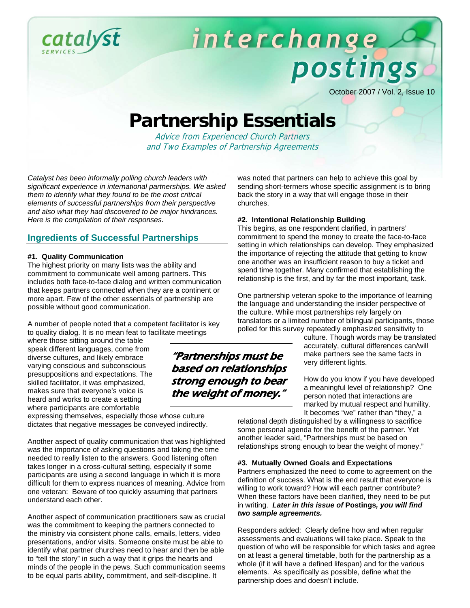

# interchange postings

October 2007 / Vol. 2, Issue 10

# **Partnership Essentials**

Advice from Experienced Church Partners and Two Examples of Partnership Agreements

*Catalyst has been informally polling church leaders with significant experience in international partnerships. We asked them to identify what they found to be the most critical elements of successful partnerships from their perspective and also what they had discovered to be major hindrances. Here is the compilation of their responses.* 

#### **Ingredients of Successful Partnerships**

#### **#1. Quality Communication**

The highest priority on many lists was the ability and commitment to communicate well among partners. This includes both face-to-face dialog and written communication that keeps partners connected when they are a continent or more apart. Few of the other essentials of partnership are possible without good communication.

A number of people noted that a competent facilitator is key to quality dialog. It is no mean feat to facilitate meetings

where those sitting around the table speak different languages, come from diverse cultures, and likely embrace varying conscious and subconscious presuppositions and expectations. The skilled facilitator, it was emphasized, makes sure that everyone's voice is heard and works to create a setting where participants are comfortable

expressing themselves, especially those whose culture dictates that negative messages be conveyed indirectly.

Another aspect of quality communication that was highlighted was the importance of asking questions and taking the time needed to really listen to the answers. Good listening often takes longer in a cross-cultural setting, especially if some participants are using a second language in which it is more difficult for them to express nuances of meaning. Advice from one veteran: Beware of too quickly assuming that partners understand each other.

Another aspect of communication practitioners saw as crucial was the commitment to keeping the partners connected to the ministry via consistent phone calls, emails, letters, video presentations, and/or visits. Someone onsite must be able to identify what partner churches need to hear and then be able to "tell the story" in such a way that it grips the hearts and minds of the people in the pews. Such communication seems to be equal parts ability, commitment, and self-discipline. It

was noted that partners can help to achieve this goal by sending short-termers whose specific assignment is to bring back the story in a way that will engage those in their churches.

#### **#2. Intentional Relationship Building**

This begins, as one respondent clarified, in partners' commitment to spend the money to create the face-to-face setting in which relationships can develop. They emphasized the importance of rejecting the attitude that getting to know one another was an insufficient reason to buy a ticket and spend time together. Many confirmed that establishing the relationship is the first, and by far the most important, task.

One partnership veteran spoke to the importance of learning the language and understanding the insider perspective of the culture. While most partnerships rely largely on translators or a limited number of bilingual participants, those polled for this survey repeatedly emphasized sensitivity to

> culture. Though words may be translated accurately, cultural differences can/will make partners see the same facts in very different lights.

How do you know if you have developed a meaningful level of relationship? One person noted that interactions are marked by mutual respect and humility. It becomes "we" rather than "they," a

relational depth distinguished by a willingness to sacrifice some personal agenda for the benefit of the partner. Yet another leader said, "Partnerships must be based on relationships strong enough to bear the weight of money."

#### **#3. Mutually Owned Goals and Expectations**

Partners emphasized the need to come to agreement on the definition of success. What is the end result that everyone is willing to work toward? How will each partner contribute? When these factors have been clarified, they need to be put in writing. *Later in this issue of* **Postings***, you will find two sample agreements.*

Responders added: Clearly define how and when regular assessments and evaluations will take place. Speak to the question of who will be responsible for which tasks and agree on at least a general timetable, both for the partnership as a whole (if it will have a defined lifespan) and for the various elements. As specifically as possible, define what the partnership does and doesn't include.

### "Partnerships must be based on relationships strong enough to bear the weight of money."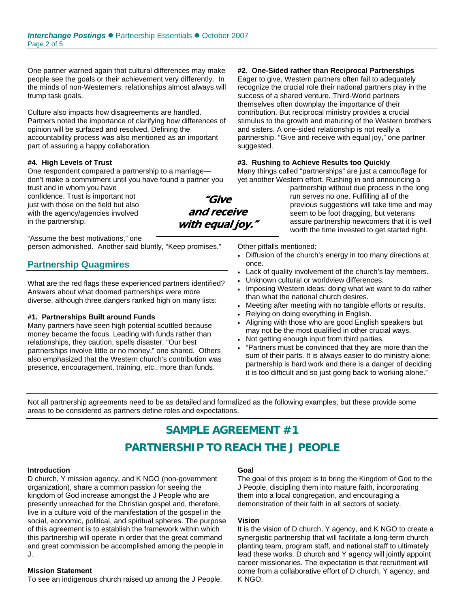One partner warned again that cultural differences may make people see the goals or their achievement very differently. In the minds of non-Westerners, relationships almost always will trump task goals.

Culture also impacts how disagreements are handled. Partners noted the importance of clarifying how differences of opinion will be surfaced and resolved. Defining the accountability process was also mentioned as an important part of assuring a happy collaboration.

#### **#4. High Levels of Trust**

One respondent compared a partnership to a marriage don't make a commitment until you have found a partner you

trust and in whom you have confidence. Trust is important not just with those on the field but also with the agency/agencies involved in the partnership.

"Assume the best motivations," one person admonished. Another said bluntly, "Keep promises."

#### **Partnership Quagmires**

What are the red flags these experienced partners identified? Answers about what doomed partnerships were more diverse, although three dangers ranked high on many lists:

#### **#1. Partnerships Built around Funds**

Many partners have seen high potential scuttled because money became the focus. Leading with funds rather than relationships, they caution, spells disaster. "Our best partnerships involve little or no money," one shared. Others also emphasized that the Western church's contribution was presence, encouragement, training, etc., more than funds.

**#2. One-Sided rather than Reciprocal Partnerships** 

Eager to give, Western partners often fail to adequately recognize the crucial role their national partners play in the success of a shared venture. Third-World partners themselves often downplay the importance of their contribution. But reciprocal ministry provides a crucial stimulus to the growth and maturing of the Western brothers and sisters. A one-sided relationship is not really a partnership. "Give and receive with equal joy," one partner suggested.

#### **#3. Rushing to Achieve Results too Quickly**

Many things called "partnerships" are just a camouflage for yet another Western effort. Rushing in and announcing a

partnership without due process in the long run serves no one. Fulfilling all of the previous suggestions will take time and may seem to be foot dragging, but veterans assure partnership newcomers that it is well worth the time invested to get started right.

Other pitfalls mentioned:

- Diffusion of the church's energy in too many directions at once.
- Lack of quality involvement of the church's lay members.
- Unknown cultural or worldview differences.
- Imposing Western ideas: doing what we want to do rather than what the national church desires.
- Meeting after meeting with no tangible efforts or results.
- Relying on doing everything in English.
- Aligning with those who are good English speakers but may not be the most qualified in other crucial ways.
- Not getting enough input from third parties.
- "Partners must be convinced that they are more than the sum of their parts. It is always easier to do ministry alone; partnership is hard work and there is a danger of deciding it is too difficult and so just going back to working alone."

Not all partnership agreements need to be as detailed and formalized as the following examples, but these provide some areas to be considered as partners define roles and expectations.

# **SAMPLE AGREEMENT #1 PARTNERSHIP TO REACH THE J PEOPLE**

#### **Introduction**

D church, Y mission agency, and K NGO (non-government organization), share a common passion for seeing the kingdom of God increase amongst the J People who are presently unreached for the Christian gospel and, therefore, live in a culture void of the manifestation of the gospel in the social, economic, political, and spiritual spheres. The purpose of this agreement is to establish the framework within which this partnership will operate in order that the great command and great commission be accomplished among the people in J.

#### **Mission Statement**

To see an indigenous church raised up among the J People.

#### **Goal**

The goal of this project is to bring the Kingdom of God to the J People, discipling them into mature faith, incorporating them into a local congregation, and encouraging a demonstration of their faith in all sectors of society.

#### **Vision**

It is the vision of D church, Y agency, and K NGO to create a synergistic partnership that will facilitate a long-term church planting team, program staff, and national staff to ultimately lead these works. D church and Y agency will jointly appoint career missionaries. The expectation is that recruitment will come from a collaborative effort of D church, Y agency, and K NGO.

"Give and receive with equal joy."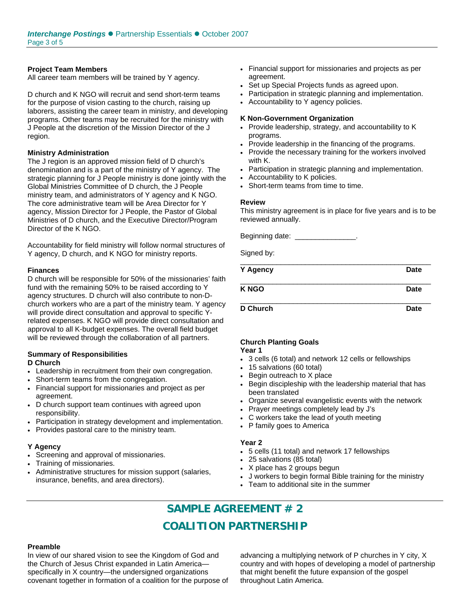#### **Project Team Members**

All career team members will be trained by Y agency.

D church and K NGO will recruit and send short-term teams for the purpose of vision casting to the church, raising up laborers, assisting the career team in ministry, and developing programs. Other teams may be recruited for the ministry with J People at the discretion of the Mission Director of the J region.

#### **Ministry Administration**

The J region is an approved mission field of D church's denomination and is a part of the ministry of Y agency. The strategic planning for J People ministry is done jointly with the Global Ministries Committee of D church, the J People ministry team, and administrators of Y agency and K NGO. The core administrative team will be Area Director for Y agency, Mission Director for J People, the Pastor of Global Ministries of D church, and the Executive Director/Program Director of the K NGO.

Accountability for field ministry will follow normal structures of Y agency, D church, and K NGO for ministry reports.

#### **Finances**

D church will be responsible for 50% of the missionaries' faith fund with the remaining 50% to be raised according to Y agency structures. D church will also contribute to non-Dchurch workers who are a part of the ministry team. Y agency will provide direct consultation and approval to specific Yrelated expenses. K NGO will provide direct consultation and approval to all K-budget expenses. The overall field budget will be reviewed through the collaboration of all partners.

#### **Summary of Responsibilities D Church**

- Leadership in recruitment from their own congregation.
- Short-term teams from the congregation.
- Financial support for missionaries and project as per agreement.
- D church support team continues with agreed upon responsibility.
- Participation in strategy development and implementation.
- Provides pastoral care to the ministry team.

#### **Y Agency**

- Screening and approval of missionaries.
- Training of missionaries.
- Administrative structures for mission support (salaries, insurance, benefits, and area directors).
- Financial support for missionaries and projects as per agreement.
- Set up Special Projects funds as agreed upon.
- Participation in strategic planning and implementation.
- Accountability to Y agency policies.

#### **K Non-Government Organization**

- Provide leadership, strategy, and accountability to K programs.
- Provide leadership in the financing of the programs.
- Provide the necessary training for the workers involved with K.
- Participation in strategic planning and implementation.
- Accountability to K policies.
- Short-term teams from time to time.

#### **Review**

This ministry agreement is in place for five years and is to be reviewed annually.

Beginning date: \_\_\_\_\_

Signed by:

| Y Agency        | Date        |
|-----------------|-------------|
| <b>KNGO</b>     | Date        |
| <b>D</b> Church | <b>Date</b> |

#### **Church Planting Goals Year 1**

- 
- 3 cells (6 total) and network 12 cells or fellowships
- 15 salvations (60 total)
- Begin outreach to X place
- Begin discipleship with the leadership material that has been translated
- Organize several evangelistic events with the network
- Prayer meetings completely lead by J's
- C workers take the lead of youth meeting
- P family goes to America

#### **Year 2**

- 5 cells (11 total) and network 17 fellowships
- 25 salvations (85 total)
- X place has 2 groups begun
- J workers to begin formal Bible training for the ministry
- Team to additional site in the summer

# **SAMPLE AGREEMENT # 2 COALITION PARTNERSHIP**

#### **Preamble**

In view of our shared vision to see the Kingdom of God and the Church of Jesus Christ expanded in Latin America specifically in X country—the undersigned organizations covenant together in formation of a coalition for the purpose of advancing a multiplying network of P churches in Y city, X country and with hopes of developing a model of partnership that might benefit the future expansion of the gospel throughout Latin America.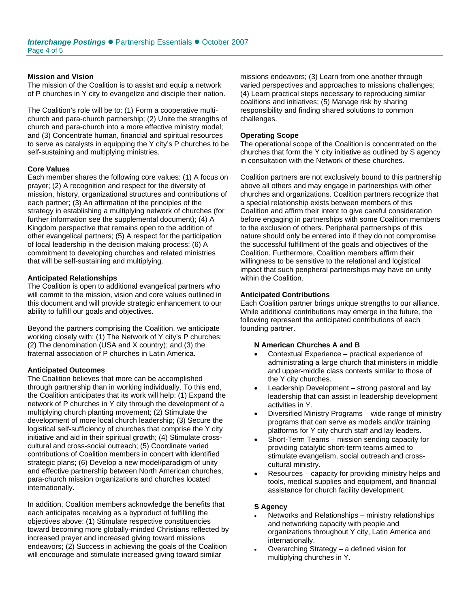#### **Mission and Vision**

The mission of the Coalition is to assist and equip a network of P churches in Y city to evangelize and disciple their nation.

The Coalition's role will be to: (1) Form a cooperative multichurch and para-church partnership; (2) Unite the strengths of church and para-church into a more effective ministry model; and (3) Concentrate human, financial and spiritual resources to serve as catalysts in equipping the Y city's P churches to be self-sustaining and multiplying ministries.

#### **Core Values**

Each member shares the following core values: (1) A focus on prayer; (2) A recognition and respect for the diversity of mission, history, organizational structures and contributions of each partner; (3) An affirmation of the principles of the strategy in establishing a multiplying network of churches (for further information see the supplemental document); (4) A Kingdom perspective that remains open to the addition of other evangelical partners; (5) A respect for the participation of local leadership in the decision making process; (6) A commitment to developing churches and related ministries that will be self-sustaining and multiplying.

#### **Anticipated Relationships**

The Coalition is open to additional evangelical partners who will commit to the mission, vision and core values outlined in this document and will provide strategic enhancement to our ability to fulfill our goals and objectives.

Beyond the partners comprising the Coalition, we anticipate working closely with: (1) The Network of Y city's P churches; (2) The denomination (USA and X country); and (3) the fraternal association of P churches in Latin America.

#### **Anticipated Outcomes**

The Coalition believes that more can be accomplished through partnership than in working individually. To this end, the Coalition anticipates that its work will help: (1) Expand the network of P churches in Y city through the development of a multiplying church planting movement; (2) Stimulate the development of more local church leadership; (3) Secure the logistical self-sufficiency of churches that comprise the Y city initiative and aid in their spiritual growth; (4) Stimulate crosscultural and cross-social outreach; (5) Coordinate varied contributions of Coalition members in concert with identified strategic plans; (6) Develop a new model/paradigm of unity and effective partnership between North American churches, para-church mission organizations and churches located internationally.

In addition, Coalition members acknowledge the benefits that each anticipates receiving as a byproduct of fulfilling the objectives above: (1) Stimulate respective constituencies toward becoming more globally-minded Christians reflected by increased prayer and increased giving toward missions endeavors; (2) Success in achieving the goals of the Coalition will encourage and stimulate increased giving toward similar

missions endeavors; (3) Learn from one another through varied perspectives and approaches to missions challenges; (4) Learn practical steps necessary to reproducing similar coalitions and initiatives; (5) Manage risk by sharing responsibility and finding shared solutions to common challenges.

#### **Operating Scope**

The operational scope of the Coalition is concentrated on the churches that form the Y city initiative as outlined by S agency in consultation with the Network of these churches.

Coalition partners are not exclusively bound to this partnership above all others and may engage in partnerships with other churches and organizations. Coalition partners recognize that a special relationship exists between members of this Coalition and affirm their intent to give careful consideration before engaging in partnerships with some Coalition members to the exclusion of others. Peripheral partnerships of this nature should only be entered into if they do not compromise the successful fulfillment of the goals and objectives of the Coalition. Furthermore, Coalition members affirm their willingness to be sensitive to the relational and logistical impact that such peripheral partnerships may have on unity within the Coalition.

#### **Anticipated Contributions**

Each Coalition partner brings unique strengths to our alliance. While additional contributions may emerge in the future, the following represent the anticipated contributions of each founding partner.

#### **N American Churches A and B**

- Contextual Experience practical experience of administrating a large church that ministers in middle and upper-middle class contexts similar to those of the Y city churches.
- Leadership Development strong pastoral and lay leadership that can assist in leadership development activities in Y.
- Diversified Ministry Programs wide range of ministry programs that can serve as models and/or training platforms for Y city church staff and lay leaders.
- Short-Term Teams mission sending capacity for providing catalytic short-term teams aimed to stimulate evangelism, social outreach and crosscultural ministry.
- Resources capacity for providing ministry helps and tools, medical supplies and equipment, and financial assistance for church facility development.

#### **S Agency**

- Networks and Relationships ministry relationships and networking capacity with people and organizations throughout Y city, Latin America and internationally.
- Overarching Strategy a defined vision for multiplying churches in Y.